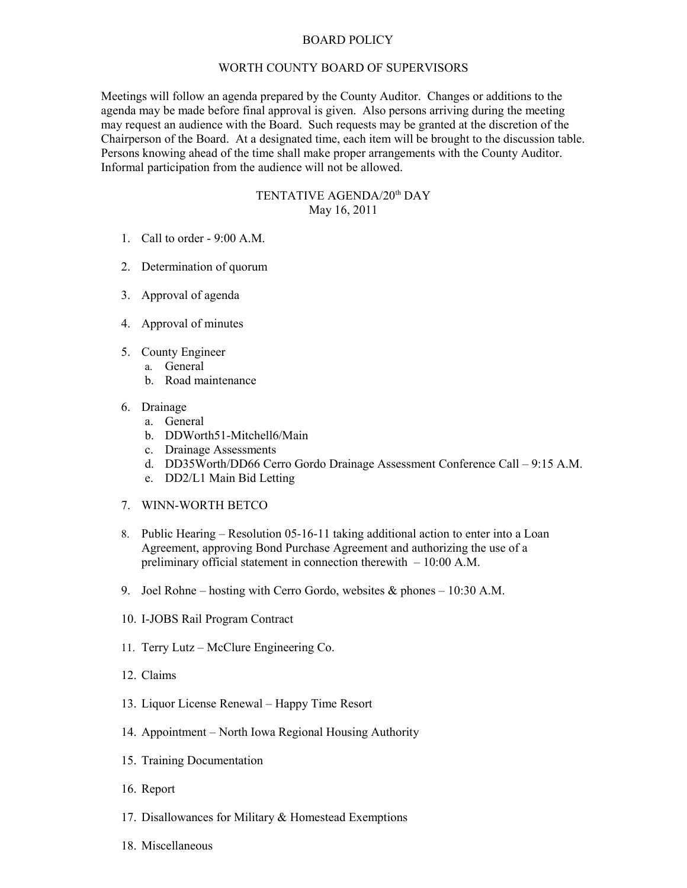## BOARD POLICY

## WORTH COUNTY BOARD OF SUPERVISORS

Meetings will follow an agenda prepared by the County Auditor. Changes or additions to the agenda may be made before final approval is given. Also persons arriving during the meeting may request an audience with the Board. Such requests may be granted at the discretion of the Chairperson of the Board. At a designated time, each item will be brought to the discussion table. Persons knowing ahead of the time shall make proper arrangements with the County Auditor. Informal participation from the audience will not be allowed.

## TENTATIVE AGENDA/20<sup>th</sup> DAY May 16, 2011

- 1. Call to order 9:00 A.M.
- 2. Determination of quorum
- 3. Approval of agenda
- 4. Approval of minutes
- 5. County Engineer
	- a. General
		- b. Road maintenance
- 6. Drainage
	- a. General
	- b. DDWorth51-Mitchell6/Main
	- c. Drainage Assessments
	- d. DD35Worth/DD66 Cerro Gordo Drainage Assessment Conference Call 9:15 A.M.
	- e. DD2/L1 Main Bid Letting
- 7. WINN-WORTH BETCO
- 8. Public Hearing Resolution 05-16-11 taking additional action to enter into a Loan Agreement, approving Bond Purchase Agreement and authorizing the use of a preliminary official statement in connection therewith – 10:00 A.M.
- 9. Joel Rohne hosting with Cerro Gordo, websites & phones 10:30 A.M.
- 10. I-JOBS Rail Program Contract
- 11. Terry Lutz McClure Engineering Co.
- 12. Claims
- 13. Liquor License Renewal Happy Time Resort
- 14. Appointment North Iowa Regional Housing Authority
- 15. Training Documentation
- 16. Report
- 17. Disallowances for Military & Homestead Exemptions
- 18. Miscellaneous